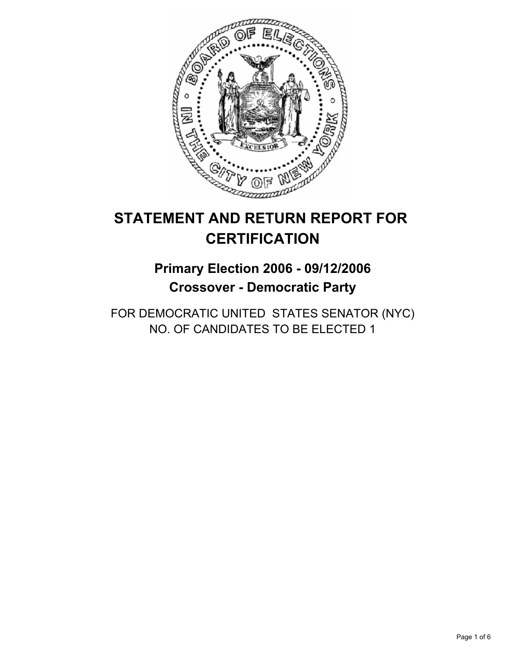

# **STATEMENT AND RETURN REPORT FOR CERTIFICATION**

## **Primary Election 2006 - 09/12/2006 Crossover - Democratic Party**

FOR DEMOCRATIC UNITED STATES SENATOR (NYC) NO. OF CANDIDATES TO BE ELECTED 1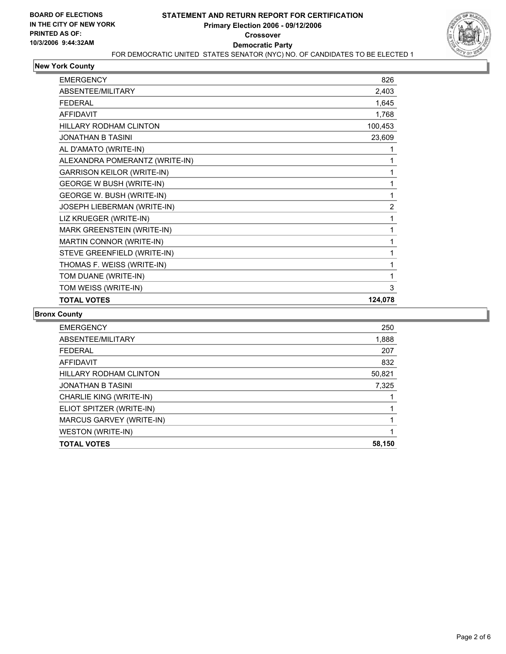

#### **New York County**

| <b>FMFRGFNCY</b>                  | 826     |
|-----------------------------------|---------|
| ABSENTEE/MILITARY                 | 2,403   |
| <b>FEDERAL</b>                    | 1,645   |
| <b>AFFIDAVIT</b>                  | 1,768   |
| <b>HILLARY RODHAM CLINTON</b>     | 100,453 |
| <b>JONATHAN B TASINI</b>          | 23,609  |
| AL D'AMATO (WRITE-IN)             |         |
| ALEXANDRA POMERANTZ (WRITE-IN)    |         |
| <b>GARRISON KEILOR (WRITE-IN)</b> |         |
| <b>GEORGE W BUSH (WRITE-IN)</b>   |         |
| GEORGE W. BUSH (WRITE-IN)         |         |
| JOSEPH LIEBERMAN (WRITE-IN)       | 2       |
| LIZ KRUEGER (WRITE-IN)            |         |
| MARK GREENSTEIN (WRITE-IN)        |         |
| MARTIN CONNOR (WRITE-IN)          |         |
| STEVE GREENFIELD (WRITE-IN)       |         |
| THOMAS F. WEISS (WRITE-IN)        |         |
| TOM DUANE (WRITE-IN)              |         |
| TOM WEISS (WRITE-IN)              | 3       |
| <b>TOTAL VOTES</b>                | 124,078 |

#### **Bronx County**

| <b>EMERGENCY</b>              | 250    |
|-------------------------------|--------|
| ABSENTEE/MILITARY             | 1,888  |
| <b>FEDERAL</b>                | 207    |
| <b>AFFIDAVIT</b>              | 832    |
| <b>HILLARY RODHAM CLINTON</b> | 50,821 |
| <b>JONATHAN B TASINI</b>      | 7,325  |
| CHARLIE KING (WRITE-IN)       |        |
| ELIOT SPITZER (WRITE-IN)      |        |
| MARCUS GARVEY (WRITE-IN)      |        |
| WESTON (WRITE-IN)             |        |
| <b>TOTAL VOTES</b>            | 58,150 |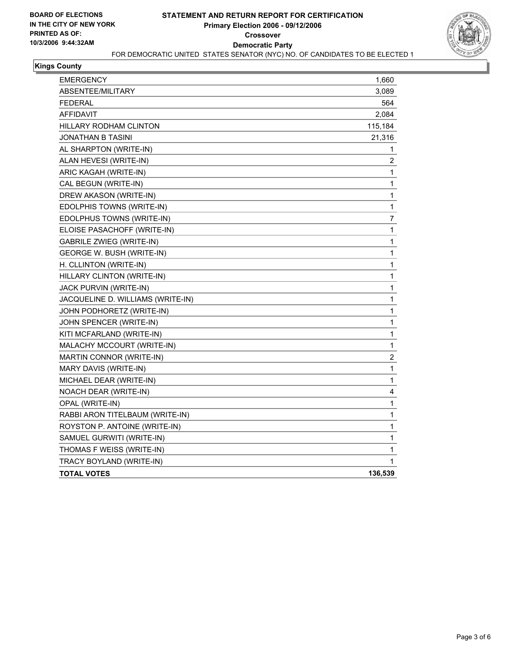

## **Kings County**

| <b>EMERGENCY</b>                  | 1,660            |
|-----------------------------------|------------------|
| ABSENTEE/MILITARY                 | 3,089            |
| <b>FEDERAL</b>                    | 564              |
| <b>AFFIDAVIT</b>                  | 2,084            |
| HILLARY RODHAM CLINTON            | 115,184          |
| JONATHAN B TASINI                 | 21,316           |
| AL SHARPTON (WRITE-IN)            | 1                |
| ALAN HEVESI (WRITE-IN)            | 2                |
| ARIC KAGAH (WRITE-IN)             | 1                |
| CAL BEGUN (WRITE-IN)              | 1                |
| DREW AKASON (WRITE-IN)            | 1                |
| EDOLPHIS TOWNS (WRITE-IN)         | $\mathbf{1}$     |
| EDOLPHUS TOWNS (WRITE-IN)         | $\overline{7}$   |
| ELOISE PASACHOFF (WRITE-IN)       | 1                |
| <b>GABRILE ZWIEG (WRITE-IN)</b>   | 1                |
| GEORGE W. BUSH (WRITE-IN)         | 1                |
| H. CLLINTON (WRITE-IN)            | 1                |
| HILLARY CLINTON (WRITE-IN)        | 1                |
| JACK PURVIN (WRITE-IN)            | 1                |
| JACQUELINE D. WILLIAMS (WRITE-IN) | 1                |
| JOHN PODHORETZ (WRITE-IN)         | 1                |
| JOHN SPENCER (WRITE-IN)           | 1                |
| KITI MCFARLAND (WRITE-IN)         | 1                |
| MALACHY MCCOURT (WRITE-IN)        | $\mathbf{1}$     |
| MARTIN CONNOR (WRITE-IN)          | $\boldsymbol{2}$ |
| MARY DAVIS (WRITE-IN)             | $\mathbf{1}$     |
| MICHAEL DEAR (WRITE-IN)           | 1                |
| NOACH DEAR (WRITE-IN)             | 4                |
| OPAL (WRITE-IN)                   | 1                |
| RABBI ARON TITELBAUM (WRITE-IN)   | 1                |
| ROYSTON P. ANTOINE (WRITE-IN)     | 1                |
| SAMUEL GURWITI (WRITE-IN)         | 1                |
| THOMAS F WEISS (WRITE-IN)         | 1                |
| TRACY BOYLAND (WRITE-IN)          | 1                |
| <b>TOTAL VOTES</b>                | 136,539          |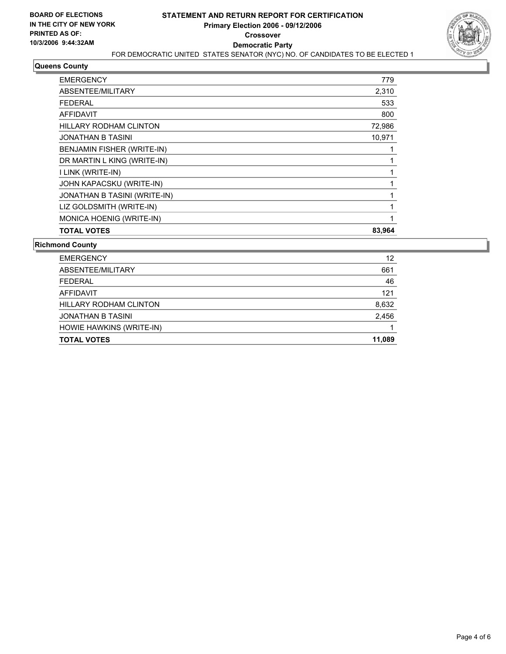

### **Queens County**

| <b>TOTAL VOTES</b>            | 83,964 |
|-------------------------------|--------|
| MONICA HOENIG (WRITE-IN)      |        |
| LIZ GOLDSMITH (WRITE-IN)      |        |
| JONATHAN B TASINI (WRITE-IN)  |        |
| JOHN KAPACSKU (WRITE-IN)      |        |
| I LINK (WRITE-IN)             |        |
| DR MARTIN L KING (WRITE-IN)   |        |
| BENJAMIN FISHER (WRITE-IN)    |        |
| <b>JONATHAN B TASINI</b>      | 10,971 |
| <b>HILLARY RODHAM CLINTON</b> | 72,986 |
| <b>AFFIDAVIT</b>              | 800    |
| <b>FEDERAL</b>                | 533    |
| ABSENTEE/MILITARY             | 2,310  |
| <b>EMERGENCY</b>              | 779    |

**Richmond County**

| <b>EMERGENCY</b>         | 12     |
|--------------------------|--------|
| ABSENTEE/MILITARY        | 661    |
| <b>FEDERAL</b>           | 46     |
| AFFIDAVIT                | 121    |
| HILLARY RODHAM CLINTON   | 8,632  |
| <b>JONATHAN B TASINI</b> | 2,456  |
| HOWIE HAWKINS (WRITE-IN) |        |
| <b>TOTAL VOTES</b>       | 11,089 |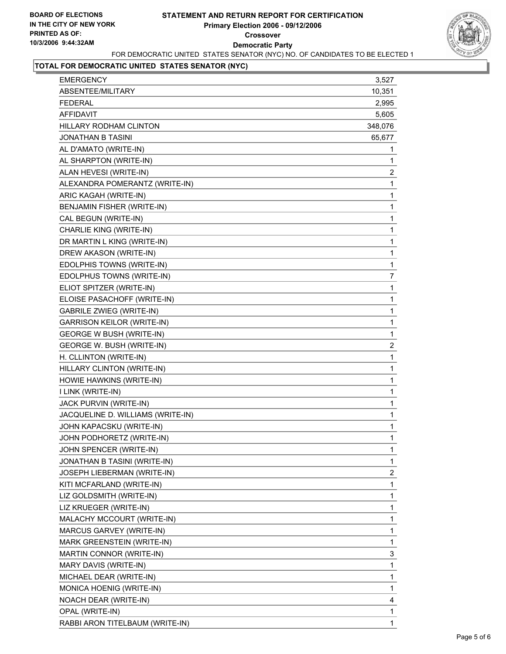

## **TOTAL FOR DEMOCRATIC UNITED STATES SENATOR (NYC)**

| <b>EMERGENCY</b>                  | 3,527                   |
|-----------------------------------|-------------------------|
| ABSENTEE/MILITARY                 | 10,351                  |
| <b>FEDERAL</b>                    | 2,995                   |
| <b>AFFIDAVIT</b>                  | 5,605                   |
| <b>HILLARY RODHAM CLINTON</b>     | 348,076                 |
| <b>JONATHAN B TASINI</b>          | 65,677                  |
| AL D'AMATO (WRITE-IN)             | 1                       |
| AL SHARPTON (WRITE-IN)            | 1                       |
| ALAN HEVESI (WRITE-IN)            | $\overline{\mathbf{c}}$ |
| ALEXANDRA POMERANTZ (WRITE-IN)    | 1                       |
| ARIC KAGAH (WRITE-IN)             | 1                       |
| BENJAMIN FISHER (WRITE-IN)        | 1                       |
| CAL BEGUN (WRITE-IN)              | 1                       |
| CHARLIE KING (WRITE-IN)           | 1                       |
| DR MARTIN L KING (WRITE-IN)       | 1                       |
| DREW AKASON (WRITE-IN)            | 1                       |
| EDOLPHIS TOWNS (WRITE-IN)         | $\mathbf 1$             |
| EDOLPHUS TOWNS (WRITE-IN)         | $\overline{7}$          |
| ELIOT SPITZER (WRITE-IN)          | 1                       |
| ELOISE PASACHOFF (WRITE-IN)       | 1                       |
| <b>GABRILE ZWIEG (WRITE-IN)</b>   | 1                       |
| <b>GARRISON KEILOR (WRITE-IN)</b> | 1                       |
| <b>GEORGE W BUSH (WRITE-IN)</b>   | $\mathbf 1$             |
| GEORGE W. BUSH (WRITE-IN)         | $\overline{\mathbf{c}}$ |
| H. CLLINTON (WRITE-IN)            | 1                       |
| HILLARY CLINTON (WRITE-IN)        | 1                       |
| HOWIE HAWKINS (WRITE-IN)          | 1                       |
| I LINK (WRITE-IN)                 | 1                       |
| JACK PURVIN (WRITE-IN)            | 1                       |
| JACQUELINE D. WILLIAMS (WRITE-IN) | 1                       |
| JOHN KAPACSKU (WRITE-IN)          | 1                       |
| JOHN PODHORETZ (WRITE-IN)         | 1                       |
| JOHN SPENCER (WRITE-IN)           | 1                       |
| JONATHAN B TASINI (WRITE-IN)      | 1                       |
| JOSEPH LIEBERMAN (WRITE-IN)       | $\overline{\mathbf{c}}$ |
| KITI MCFARLAND (WRITE-IN)         | 1                       |
| LIZ GOLDSMITH (WRITE-IN)          | 1                       |
| LIZ KRUEGER (WRITE-IN)            | 1                       |
| MALACHY MCCOURT (WRITE-IN)        | 1                       |
| MARCUS GARVEY (WRITE-IN)          | 1                       |
| <b>MARK GREENSTEIN (WRITE-IN)</b> | 1                       |
| MARTIN CONNOR (WRITE-IN)          | 3                       |
| MARY DAVIS (WRITE-IN)             | 1                       |
| MICHAEL DEAR (WRITE-IN)           | 1                       |
| MONICA HOENIG (WRITE-IN)          | 1                       |
| NOACH DEAR (WRITE-IN)             | 4                       |
| OPAL (WRITE-IN)                   | 1                       |
| RABBI ARON TITELBAUM (WRITE-IN)   | 1                       |